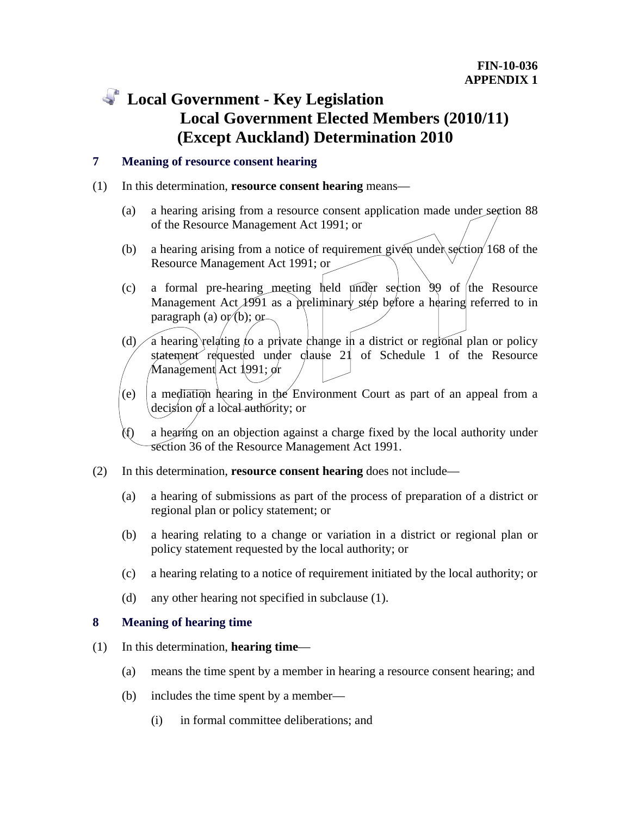# **Local Government - Key Legislation Local Government Elected Members (2010/11) (Except Auckland) Determination 2010**

# **7 Meaning of resource consent hearing**

### (1) In this determination, **resource consent hearing** means—

- (a) a hearing arising from a resource consent application made under section 88 of the Resource Management Act 1991; or
- (b) a hearing arising from a notice of requirement given under section 168 of the Resource Management Act 1991; or
- (c) a formal pre-hearing meeting held  $\mu$ mder section 99 of the Resource Management Act 1991 as a preliminary step before a hearing referred to in paragraph (a)  $o\mathbf{r}/b$ ; or
- (d)  $\big/$  a hearing relating to a private change in a district or regional plan or policy statement requested under clause 21 of Schedule 1 of the Resource Management Act 1991; or
- (e) a mediation hearing in the Environment Court as part of an appeal from a decision of a local authority; or

a hearing on an objection against a charge fixed by the local authority under section 36 of the Resource Management Act 1991.

- (2) In this determination, **resource consent hearing** does not include—
	- (a) a hearing of submissions as part of the process of preparation of a district or regional plan or policy statement; or
	- (b) a hearing relating to a change or variation in a district or regional plan or policy statement requested by the local authority; or
	- (c) a hearing relating to a notice of requirement initiated by the local authority; or
	- (d) any other hearing not specified in subclause (1).

# **8 Meaning of hearing time**

- (1) In this determination, **hearing time**
	- (a) means the time spent by a member in hearing a resource consent hearing; and
	- (b) includes the time spent by a member—
		- (i) in formal committee deliberations; and